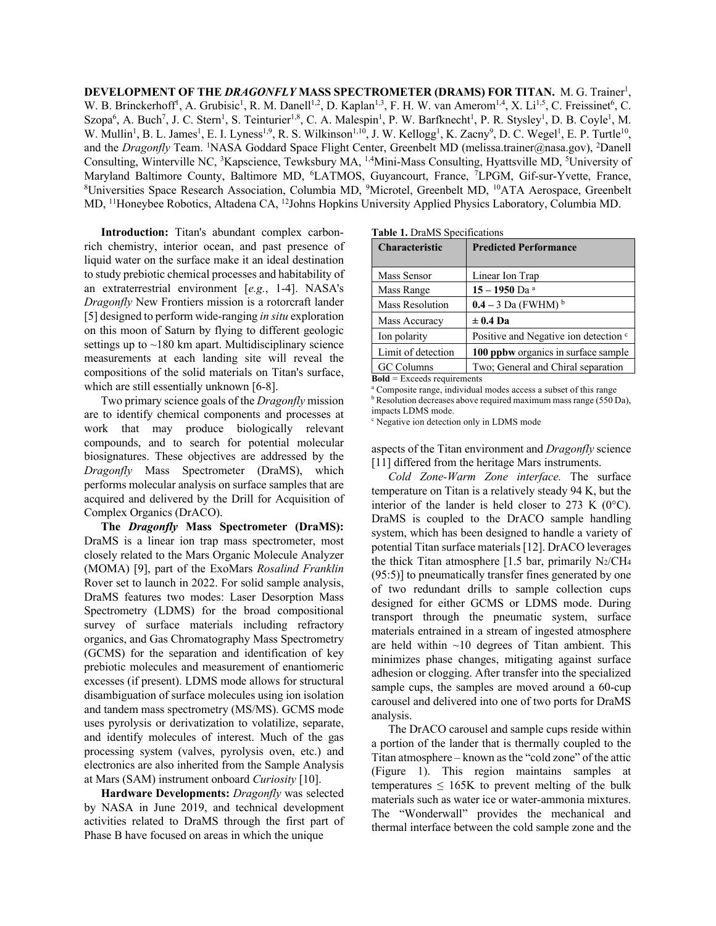DEVELOPMENT OF THE *DRAGONFLY* MASS SPECTROMETER (DRAMS) FOR TITAN. M. G. Trainer<sup>1</sup>, W. B. Brinckerhoff<sup>1</sup>, A. Grubisic<sup>1</sup>, R. M. Danell<sup>1,2</sup>, D. Kaplan<sup>1,3</sup>, F. H. W. van Amerom<sup>1,4</sup>, X. Li<sup>1,5</sup>, C. Freissinet<sup>6</sup>, C. Szopa<sup>6</sup>, A. Buch<sup>7</sup>, J. C. Stern<sup>1</sup>, S. Teinturier<sup>1,8</sup>, C. A. Malespin<sup>1</sup>, P. W. Barfknecht<sup>1</sup>, P. R. Stysley<sup>1</sup>, D. B. Coyle<sup>1</sup>, M. W. Mullin<sup>1</sup>, B. L. James<sup>1</sup>, E. I. Lyness<sup>1,9</sup>, R. S. Wilkinson<sup>1,10</sup>, J. W. Kellogg<sup>1</sup>, K. Zacny<sup>9</sup>, D. C. Wegel<sup>1</sup>, E. P. Turtle<sup>10</sup>, and the *Dragonfly* Team. <sup>1</sup>NASA Goddard Space Flight Center, Greenbelt MD (melissa.trainer@nasa.gov), <sup>2</sup>Danell Consulting, Winterville NC, <sup>3</sup>Kapscience, Tewksbury MA, <sup>1,4</sup>Mini-Mass Consulting, Hyattsville MD, <sup>5</sup>University of Maryland Baltimore County, Baltimore MD, <sup>6</sup>LATMOS, Guyancourt, France, <sup>7</sup>LPGM, Gif-sur-Yvette, France, 8<br><sup>8</sup>LIniversities Space Research Association, Columbia MD, <sup>9</sup>Microtel, Greenbelt MD, <sup>10</sup>ATA Aerospace, Greenbelt Universities Space Research Association, Columbia MD, <sup>9</sup>Microtel, Greenbelt MD, <sup>10</sup>ATA Aerospace, Greenbelt MD, 11Honeybee Robotics, Altadena CA, 12Johns Hopkins University Applied Physics Laboratory, Columbia MD.

**Introduction:** Titan's abundant complex carbonrich chemistry, interior ocean, and past presence of liquid water on the surface make it an ideal destination to study prebiotic chemical processes and habitability of an extraterrestrial environment [*e.g.*, 1-4]. NASA's *Dragonfly* New Frontiers mission is a rotorcraft lander [5] designed to perform wide-ranging *in situ* exploration on this moon of Saturn by flying to different geologic settings up to  $\sim$ 180 km apart. Multidisciplinary science measurements at each landing site will reveal the compositions of the solid materials on Titan's surface, which are still essentially unknown [6-8].

Two primary science goals of the *Dragonfly* mission are to identify chemical components and processes at work that may produce biologically relevant compounds, and to search for potential molecular biosignatures. These objectives are addressed by the *Dragonfly* Mass Spectrometer (DraMS), which performs molecular analysis on surface samples that are acquired and delivered by the Drill for Acquisition of Complex Organics (DrACO).

**The** *Dragonfly* **Mass Spectrometer (DraMS):** DraMS is a linear ion trap mass spectrometer, most closely related to the Mars Organic Molecule Analyzer (MOMA) [9], part of the ExoMars *Rosalind Franklin* Rover set to launch in 2022. For solid sample analysis, DraMS features two modes: Laser Desorption Mass Spectrometry (LDMS) for the broad compositional survey of surface materials including refractory organics, and Gas Chromatography Mass Spectrometry (GCMS) for the separation and identification of key prebiotic molecules and measurement of enantiomeric excesses (if present). LDMS mode allows for structural disambiguation of surface molecules using ion isolation and tandem mass spectrometry (MS/MS). GCMS mode uses pyrolysis or derivatization to volatilize, separate, and identify molecules of interest. Much of the gas processing system (valves, pyrolysis oven, etc.) and electronics are also inherited from the Sample Analysis at Mars (SAM) instrument onboard *Curiosity* [10].

**Hardware Developments:** *Dragonfly* was selected by NASA in June 2019, and technical development activities related to DraMS through the first part of Phase B have focused on areas in which the unique

| <b>rapic 1.</b> Dialyto opecutications |                                                  |
|----------------------------------------|--------------------------------------------------|
| <b>Characteristic</b>                  | <b>Predicted Performance</b>                     |
| Mass Sensor                            | Linear Ion Trap                                  |
| Mass Range                             | 15 - 1950 Da <sup>a</sup>                        |
| Mass Resolution                        | $0.4 - 3$ Da (FWHM) $^{b}$                       |
| Mass Accuracy                          | $\pm$ 0.4 Da                                     |
| Ion polarity                           | Positive and Negative ion detection <sup>c</sup> |
| Limit of detection                     | 100 ppbw organics in surface sample              |
| <b>GC</b> Columns                      | Two; General and Chiral separation               |
|                                        |                                                  |

**Bold** = Exceeds requirements

<sup>a</sup> Composite range, individual modes access a subset of this range  $b$  Resolution decreases above required maximum mass range (550 Da), impacts LDMS mode.

<sup>c</sup> Negative ion detection only in LDMS mode

aspects of the Titan environment and *Dragonfly* science [11] differed from the heritage Mars instruments.

*Cold Zone-Warm Zone interface.* The surface temperature on Titan is a relatively steady 94 K, but the interior of the lander is held closer to 273 K ( $0^{\circ}$ C). DraMS is coupled to the DrACO sample handling system, which has been designed to handle a variety of potential Titan surface materials[12]. DrACO leverages the thick Titan atmosphere [1.5 bar, primarily  $N_2/CH_4$ (95:5)] to pneumatically transfer fines generated by one of two redundant drills to sample collection cups designed for either GCMS or LDMS mode. During transport through the pneumatic system, surface materials entrained in a stream of ingested atmosphere are held within  $\sim 10$  degrees of Titan ambient. This minimizes phase changes, mitigating against surface adhesion or clogging. After transfer into the specialized sample cups, the samples are moved around a 60-cup carousel and delivered into one of two ports for DraMS analysis.

The DrACO carousel and sample cups reside within a portion of the lander that is thermally coupled to the Titan atmosphere – known as the "cold zone" of the attic (Figure 1). This region maintains samples at temperatures  $\leq 165K$  to prevent melting of the bulk materials such as water ice or water-ammonia mixtures. The "Wonderwall" provides the mechanical and thermal interface between the cold sample zone and the